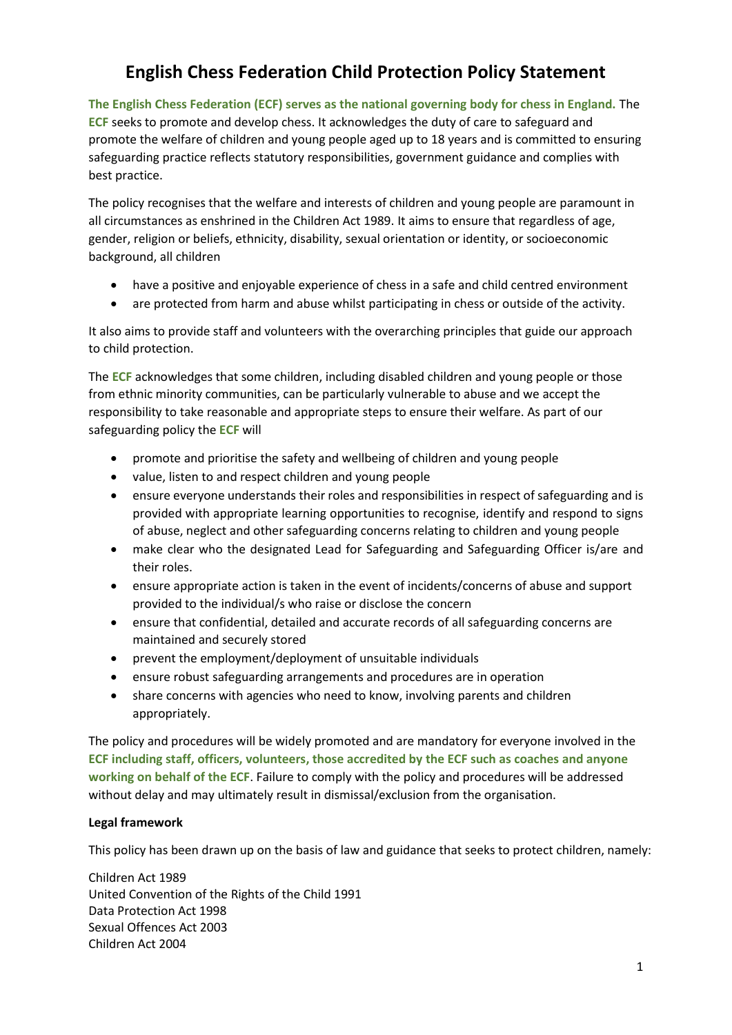# **English Chess Federation Child Protection Policy Statement**

**The English Chess Federation (ECF) serves as the national governing body for chess in England.** The **ECF** seeks to promote and develop chess. It acknowledges the duty of care to safeguard and promote the welfare of children and young people aged up to 18 years and is committed to ensuring safeguarding practice reflects statutory responsibilities, government guidance and complies with best practice.

The policy recognises that the welfare and interests of children and young people are paramount in all circumstances as enshrined in the Children Act 1989. It aims to ensure that regardless of age, gender, religion or beliefs, ethnicity, disability, sexual orientation or identity, or socioeconomic background, all children

- have a positive and enjoyable experience of chess in a safe and child centred environment
- are protected from harm and abuse whilst participating in chess or outside of the activity.

It also aims to provide staff and volunteers with the overarching principles that guide our approach to child protection.

The **ECF** acknowledges that some children, including disabled children and young people or those from ethnic minority communities, can be particularly vulnerable to abuse and we accept the responsibility to take reasonable and appropriate steps to ensure their welfare. As part of our safeguarding policy the **ECF** will

- promote and prioritise the safety and wellbeing of children and young people
- value, listen to and respect children and young people
- ensure everyone understands their roles and responsibilities in respect of safeguarding and is provided with appropriate learning opportunities to recognise, identify and respond to signs of abuse, neglect and other safeguarding concerns relating to children and young people
- make clear who the designated Lead for Safeguarding and Safeguarding Officer is/are and their roles.
- ensure appropriate action is taken in the event of incidents/concerns of abuse and support provided to the individual/s who raise or disclose the concern
- ensure that confidential, detailed and accurate records of all safeguarding concerns are maintained and securely stored
- prevent the employment/deployment of unsuitable individuals
- ensure robust safeguarding arrangements and procedures are in operation
- share concerns with agencies who need to know, involving parents and children appropriately.

The policy and procedures will be widely promoted and are mandatory for everyone involved in the **ECF including staff, officers, volunteers, those accredited by the ECF such as coaches and anyone working on behalf of the ECF**. Failure to comply with the policy and procedures will be addressed without delay and may ultimately result in dismissal/exclusion from the organisation.

#### **Legal framework**

This policy has been drawn up on the basis of law and guidance that seeks to protect children, namely:

Children Act 1989 United Convention of the Rights of the Child 1991 Data Protection Act 1998 Sexual Offences Act 2003 Children Act 2004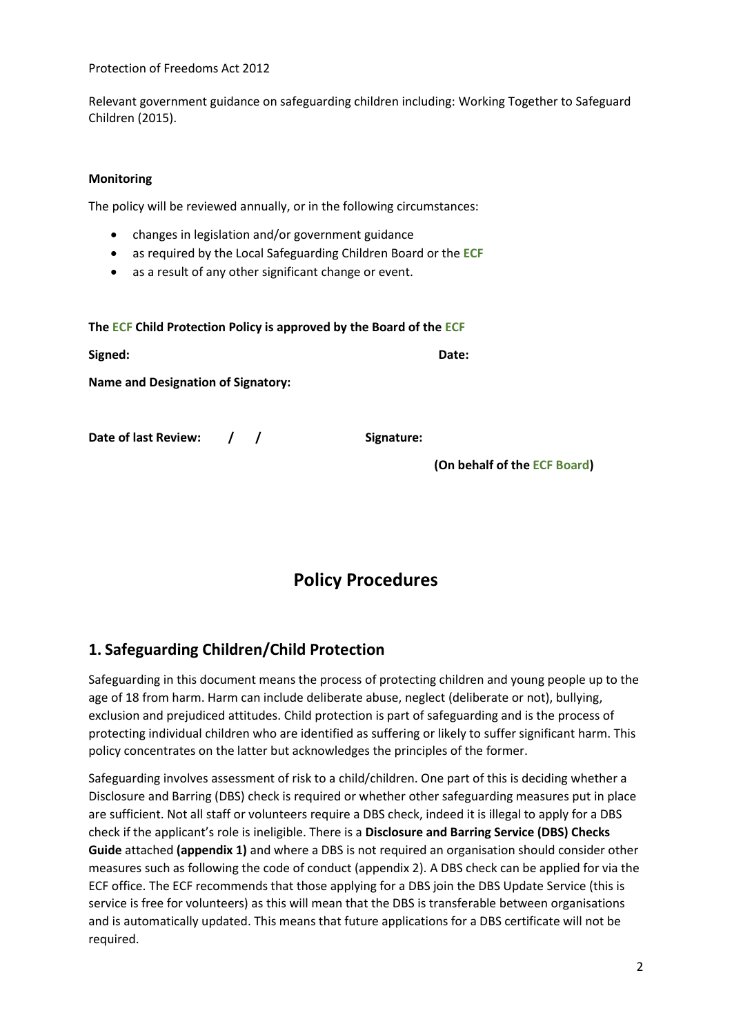Protection of Freedoms Act 2012

Relevant government guidance on safeguarding children including: Working Together to Safeguard Children (2015).

#### **Monitoring**

The policy will be reviewed annually, or in the following circumstances:

- changes in legislation and/or government guidance
- as required by the Local Safeguarding Children Board or the **ECF**
- as a result of any other significant change or event.

| The ECF Child Protection Policy is approved by the Board of the ECF |  |  |            |                              |  |  |
|---------------------------------------------------------------------|--|--|------------|------------------------------|--|--|
| Signed:                                                             |  |  |            | Date:                        |  |  |
| <b>Name and Designation of Signatory:</b>                           |  |  |            |                              |  |  |
| Date of last Review: / /                                            |  |  | Signature: |                              |  |  |
|                                                                     |  |  |            | (On behalf of the ECF Board) |  |  |

# **Policy Procedures**

# **1. Safeguarding Children/Child Protection**

Safeguarding in this document means the process of protecting children and young people up to the age of 18 from harm. Harm can include deliberate abuse, neglect (deliberate or not), bullying, exclusion and prejudiced attitudes. Child protection is part of safeguarding and is the process of protecting individual children who are identified as suffering or likely to suffer significant harm. This policy concentrates on the latter but acknowledges the principles of the former.

Safeguarding involves assessment of risk to a child/children. One part of this is deciding whether a Disclosure and Barring (DBS) check is required or whether other safeguarding measures put in place are sufficient. Not all staff or volunteers require a DBS check, indeed it is illegal to apply for a DBS check if the applicant's role is ineligible. There is a **Disclosure and Barring Service (DBS) Checks Guide** attached **(appendix 1)** and where a DBS is not required an organisation should consider other measures such as following the code of conduct (appendix 2). A DBS check can be applied for via the ECF office. The ECF recommends that those applying for a DBS join the DBS Update Service (this is service is free for volunteers) as this will mean that the DBS is transferable between organisations and is automatically updated. This means that future applications for a DBS certificate will not be required.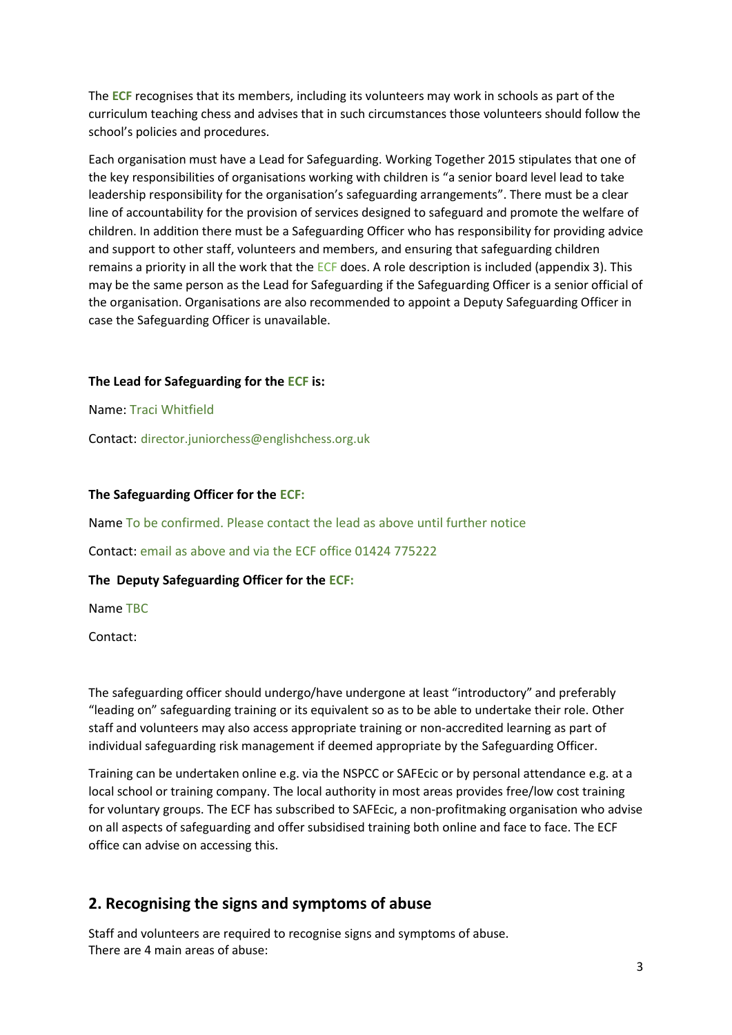The **ECF** recognises that its members, including its volunteers may work in schools as part of the curriculum teaching chess and advises that in such circumstances those volunteers should follow the school's policies and procedures.

Each organisation must have a Lead for Safeguarding. Working Together 2015 stipulates that one of the key responsibilities of organisations working with children is "a senior board level lead to take leadership responsibility for the organisation's safeguarding arrangements". There must be a clear line of accountability for the provision of services designed to safeguard and promote the welfare of children. In addition there must be a Safeguarding Officer who has responsibility for providing advice and support to other staff, volunteers and members, and ensuring that safeguarding children remains a priority in all the work that the ECF does. A role description is included (appendix 3). This may be the same person as the Lead for Safeguarding if the Safeguarding Officer is a senior official of the organisation. Organisations are also recommended to appoint a Deputy Safeguarding Officer in case the Safeguarding Officer is unavailable.

#### **The Lead for Safeguarding for the ECF is:**

Name: Traci Whitfield

Contact: director.juniorchess@englishchess.org.uk

#### **The Safeguarding Officer for the ECF:**

Name To be confirmed. Please contact the lead as above until further notice

Contact: email as above and via the ECF office 01424 775222

#### **The Deputy Safeguarding Officer for the ECF:**

Name TBC

Contact:

The safeguarding officer should undergo/have undergone at least "introductory" and preferably "leading on" safeguarding training or its equivalent so as to be able to undertake their role. Other staff and volunteers may also access appropriate training or non-accredited learning as part of individual safeguarding risk management if deemed appropriate by the Safeguarding Officer.

Training can be undertaken online e.g. via the NSPCC or SAFEcic or by personal attendance e.g. at a local school or training company. The local authority in most areas provides free/low cost training for voluntary groups. The ECF has subscribed to SAFEcic, a non-profitmaking organisation who advise on all aspects of safeguarding and offer subsidised training both online and face to face. The ECF office can advise on accessing this.

#### **2. Recognising the signs and symptoms of abuse**

Staff and volunteers are required to recognise signs and symptoms of abuse. There are 4 main areas of abuse: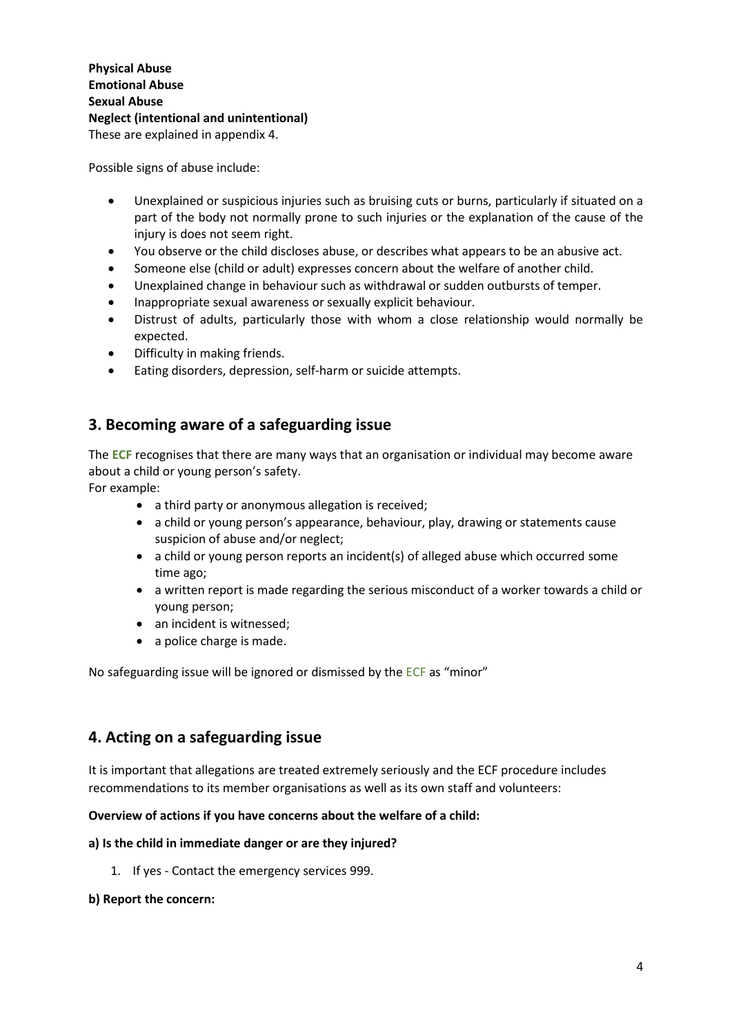Possible signs of abuse include:

- Unexplained or suspicious injuries such as bruising cuts or burns, particularly if situated on a part of the body not normally prone to such injuries or the explanation of the cause of the injury is does not seem right.
- You observe or the child discloses abuse, or describes what appears to be an abusive act.
- Someone else (child or adult) expresses concern about the welfare of another child.
- Unexplained change in behaviour such as withdrawal or sudden outbursts of temper.
- Inappropriate sexual awareness or sexually explicit behaviour.
- Distrust of adults, particularly those with whom a close relationship would normally be expected.
- Difficulty in making friends.
- Eating disorders, depression, self-harm or suicide attempts.

#### **3. Becoming aware of a safeguarding issue**

The **ECF** recognises that there are many ways that an organisation or individual may become aware about a child or young person's safety.

For example:

- a third party or anonymous allegation is received;
- a child or young person's appearance, behaviour, play, drawing or statements cause suspicion of abuse and/or neglect;
- a child or young person reports an incident(s) of alleged abuse which occurred some time ago;
- a written report is made regarding the serious misconduct of a worker towards a child or young person;
- an incident is witnessed;
- a police charge is made.

No safeguarding issue will be ignored or dismissed by the ECF as "minor"

#### **4. Acting on a safeguarding issue**

It is important that allegations are treated extremely seriously and the ECF procedure includes recommendations to its member organisations as well as its own staff and volunteers:

#### **Overview of actions if you have concerns about the welfare of a child:**

#### **a) Is the child in immediate danger or are they injured?**

1. If yes - Contact the emergency services 999.

#### **b) Report the concern:**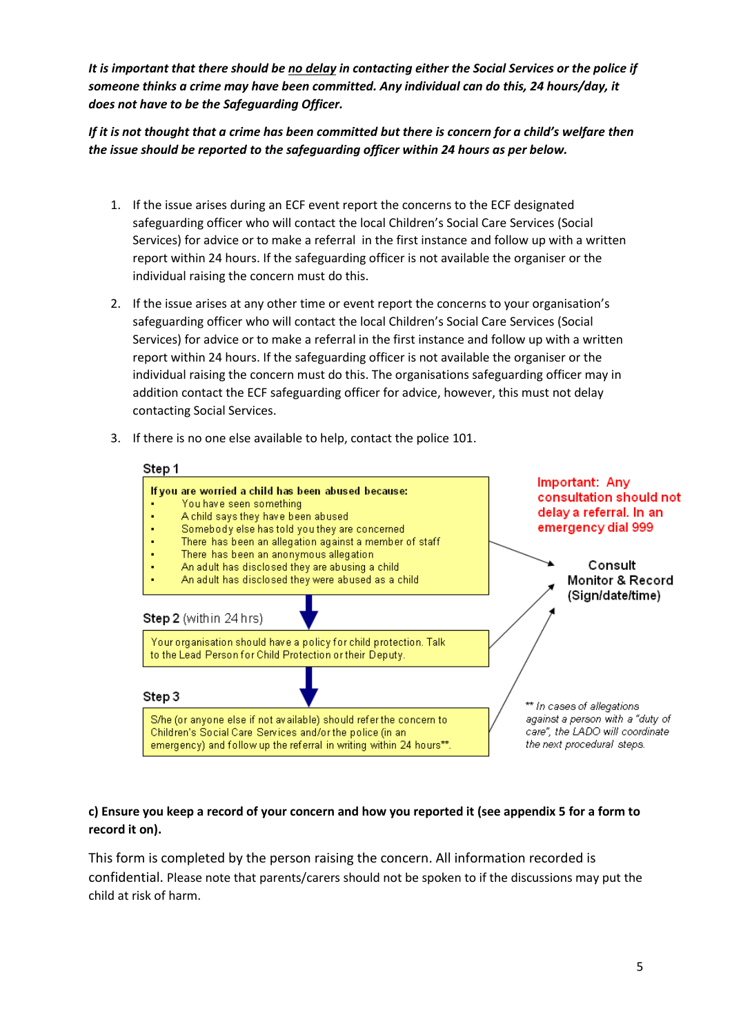*It is important that there should be no delay in contacting either the Social Services or the police if someone thinks a crime may have been committed. Any individual can do this, 24 hours/day, it does not have to be the Safeguarding Officer.* 

*If it is not thought that a crime has been committed but there is concern for a child's welfare then the issue should be reported to the safeguarding officer within 24 hours as per below.* 

- 1. If the issue arises during an ECF event report the concerns to the ECF designated safeguarding officer who will contact the local Children's Social Care Services (Social Services) for advice or to make a referral in the first instance and follow up with a written report within 24 hours. If the safeguarding officer is not available the organiser or the individual raising the concern must do this.
- 2. If the issue arises at any other time or event report the concerns to your organisation's safeguarding officer who will contact the local Children's Social Care Services (Social Services) for advice or to make a referral in the first instance and follow up with a written report within 24 hours. If the safeguarding officer is not available the organiser or the individual raising the concern must do this. The organisations safeguarding officer may in addition contact the ECF safeguarding officer for advice, however, this must not delay contacting Social Services.
- 3. If there is no one else available to help, contact the police 101.



#### **c) Ensure you keep a record of your concern and how you reported it (see appendix 5 for a form to record it on).**

This form is completed by the person raising the concern. All information recorded is confidential. Please note that parents/carers should not be spoken to if the discussions may put the child at risk of harm.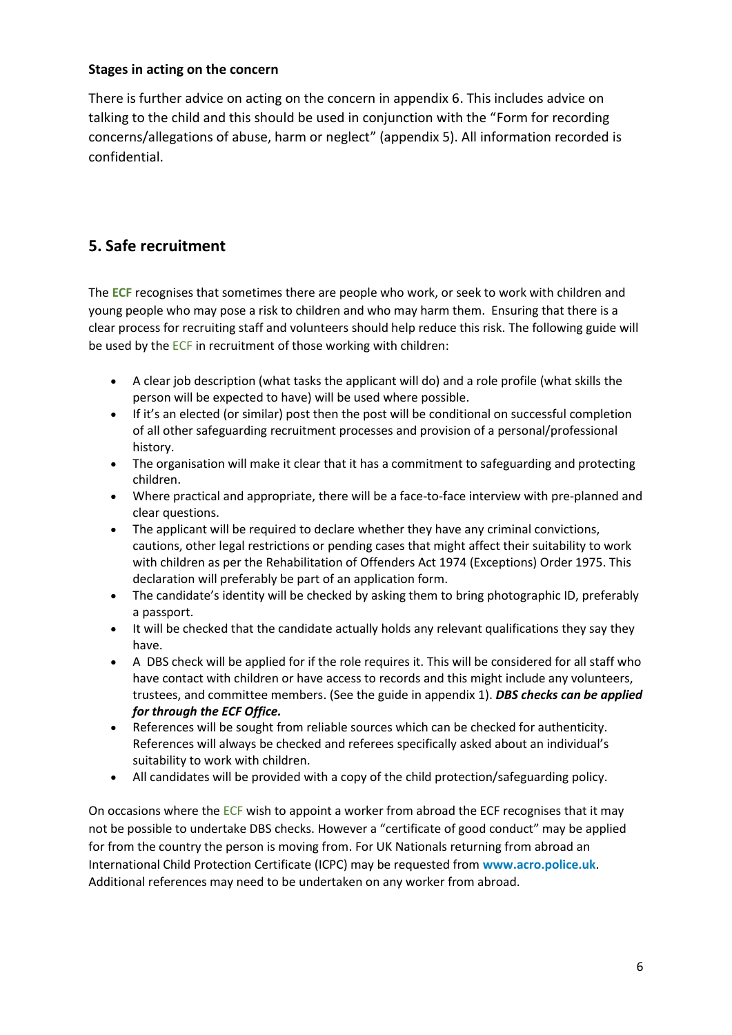#### **Stages in acting on the concern**

There is further advice on acting on the concern in appendix 6. This includes advice on talking to the child and this should be used in conjunction with the "Form for recording concerns/allegations of abuse, harm or neglect" (appendix 5). All information recorded is confidential.

# **5. Safe recruitment**

The **ECF** recognises that sometimes there are people who work, or seek to work with children and young people who may pose a risk to children and who may harm them. Ensuring that there is a clear process for recruiting staff and volunteers should help reduce this risk. The following guide will be used by the ECF in recruitment of those working with children:

- A clear job description (what tasks the applicant will do) and a role profile (what skills the person will be expected to have) will be used where possible.
- If it's an elected (or similar) post then the post will be conditional on successful completion of all other safeguarding recruitment processes and provision of a personal/professional history.
- The organisation will make it clear that it has a commitment to safeguarding and protecting children.
- Where practical and appropriate, there will be a face-to-face interview with pre-planned and clear questions.
- The applicant will be required to declare whether they have any criminal convictions, cautions, other legal restrictions or pending cases that might affect their suitability to work with children as per the Rehabilitation of Offenders Act 1974 (Exceptions) Order 1975. This declaration will preferably be part of an application form.
- The candidate's identity will be checked by asking them to bring photographic ID, preferably a passport.
- It will be checked that the candidate actually holds any relevant qualifications they say they have.
- A DBS check will be applied for if the role requires it. This will be considered for all staff who have contact with children or have access to records and this might include any volunteers, trustees, and committee members. (See the guide in appendix 1). *DBS checks can be applied for through the ECF Office.*
- References will be sought from reliable sources which can be checked for authenticity. References will always be checked and referees specifically asked about an individual's suitability to work with children.
- All candidates will be provided with a copy of the child protection/safeguarding policy.

On occasions where the ECF wish to appoint a worker from abroad the ECF recognises that it may not be possible to undertake DBS checks. However a "certificate of good conduct" may be applied for from the country the person is moving from. For UK Nationals returning from abroad an International Child Protection Certificate (ICPC) may be requested from **[www.acro.police.uk](http://www.acro.police.uk/)**. Additional references may need to be undertaken on any worker from abroad.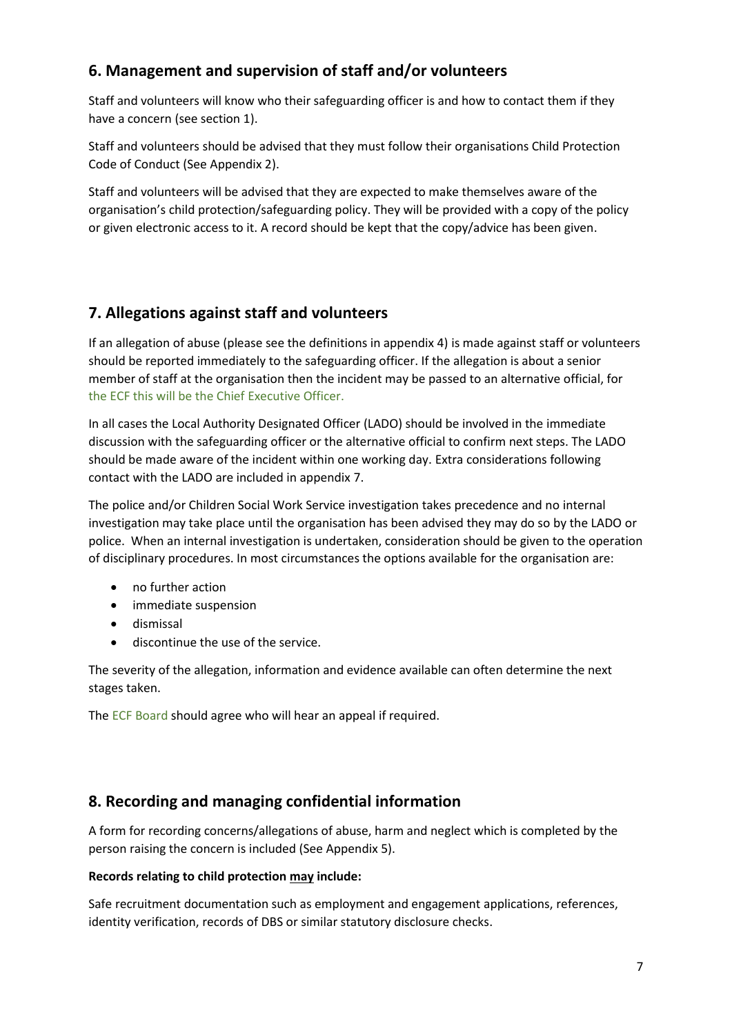# **6. Management and supervision of staff and/or volunteers**

Staff and volunteers will know who their safeguarding officer is and how to contact them if they have a concern (see section 1).

Staff and volunteers should be advised that they must follow their organisations Child Protection Code of Conduct (See Appendix 2).

Staff and volunteers will be advised that they are expected to make themselves aware of the organisation's child protection/safeguarding policy. They will be provided with a copy of the policy or given electronic access to it. A record should be kept that the copy/advice has been given.

# **7. Allegations against staff and volunteers**

If an allegation of abuse (please see the definitions in appendix 4) is made against staff or volunteers should be reported immediately to the safeguarding officer. If the allegation is about a senior member of staff at the organisation then the incident may be passed to an alternative official, for the ECF this will be the Chief Executive Officer.

In all cases the Local Authority Designated Officer (LADO) should be involved in the immediate discussion with the safeguarding officer or the alternative official to confirm next steps. The LADO should be made aware of the incident within one working day. Extra considerations following contact with the LADO are included in appendix 7.

The police and/or Children Social Work Service investigation takes precedence and no internal investigation may take place until the organisation has been advised they may do so by the LADO or police. When an internal investigation is undertaken, consideration should be given to the operation of disciplinary procedures. In most circumstances the options available for the organisation are:

- no further action
- immediate suspension
- dismissal
- discontinue the use of the service.

The severity of the allegation, information and evidence available can often determine the next stages taken.

The ECF Board should agree who will hear an appeal if required.

# **8. Recording and managing confidential information**

A form for recording concerns/allegations of abuse, harm and neglect which is completed by the person raising the concern is included (See Appendix 5).

#### **Records relating to child protection may include:**

Safe recruitment documentation such as employment and engagement applications, references, identity verification, records of DBS or similar statutory disclosure checks.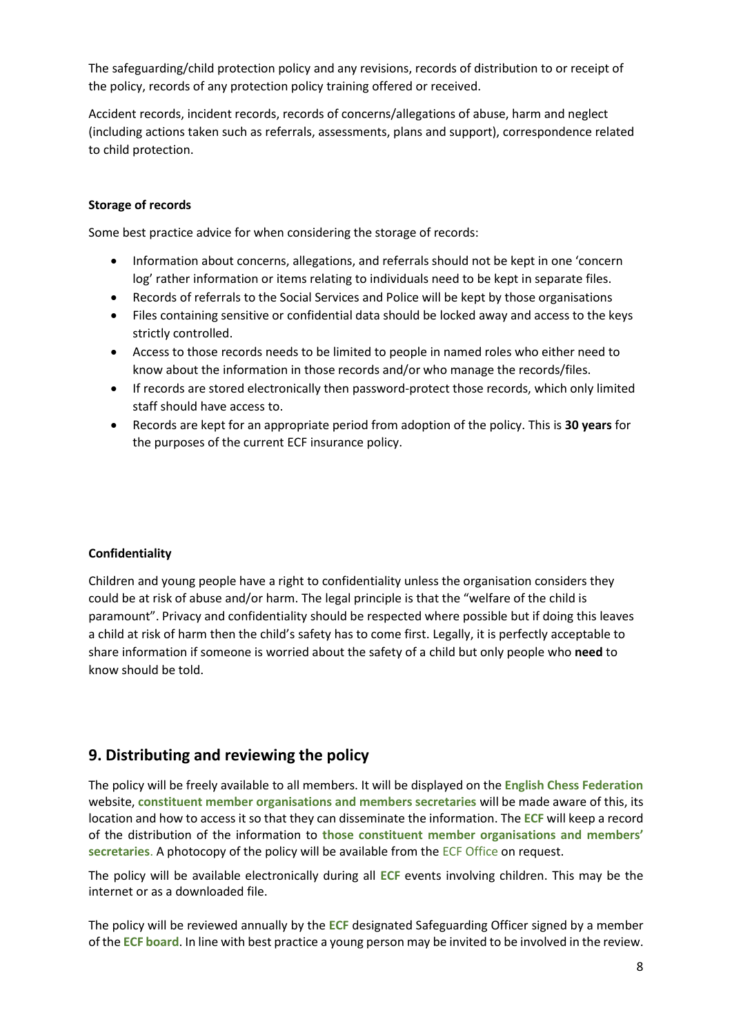The safeguarding/child protection policy and any revisions, records of distribution to or receipt of the policy, records of any protection policy training offered or received.

Accident records, incident records, records of concerns/allegations of abuse, harm and neglect (including actions taken such as referrals, assessments, plans and support), correspondence related to child protection.

#### **Storage of records**

Some best practice advice for when considering the storage of records:

- Information about concerns, allegations, and referrals should not be kept in one 'concern log' rather information or items relating to individuals need to be kept in separate files.
- Records of referrals to the Social Services and Police will be kept by those organisations
- Files containing sensitive or confidential data should be locked away and access to the keys strictly controlled.
- Access to those records needs to be limited to people in named roles who either need to know about the information in those records and/or who manage the records/files.
- If records are stored electronically then password-protect those records, which only limited staff should have access to.
- Records are kept for an appropriate period from adoption of the policy. This is **30 years** for the purposes of the current ECF insurance policy.

#### **Confidentiality**

Children and young people have a right to confidentiality unless the organisation considers they could be at risk of abuse and/or harm. The legal principle is that the "welfare of the child is paramount". Privacy and confidentiality should be respected where possible but if doing this leaves a child at risk of harm then the child's safety has to come first. Legally, it is perfectly acceptable to share information if someone is worried about the safety of a child but only people who **need** to know should be told.

#### **9. Distributing and reviewing the policy**

The policy will be freely available to all members. It will be displayed on the **English Chess Federation** website, **constituent member organisations and members secretaries** will be made aware of this, its location and how to access it so that they can disseminate the information. The **ECF** will keep a record of the distribution of the information to **those constituent member organisations and members' secretaries**. A photocopy of the policy will be available from the ECF Office on request.

The policy will be available electronically during all **ECF** events involving children. This may be the internet or as a downloaded file.

The policy will be reviewed annually by the **ECF** designated Safeguarding Officer signed by a member of the **ECF board**. In line with best practice a young person may be invited to be involved in the review.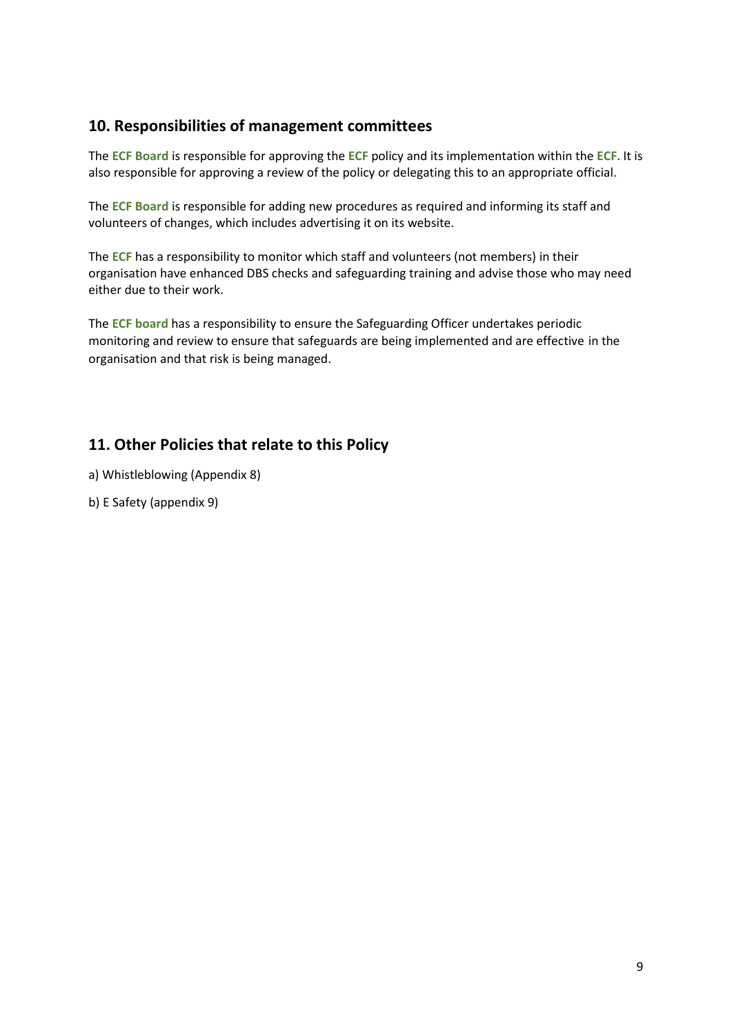### **10. Responsibilities of management committees**

The **ECF Board** is responsible for approving the **ECF** policy and its implementation within the **ECF**. It is also responsible for approving a review of the policy or delegating this to an appropriate official.

The **ECF Board** is responsible for adding new procedures as required and informing its staff and volunteers of changes, which includes advertising it on its website.

The **ECF** has a responsibility to monitor which staff and volunteers (not members) in their organisation have enhanced DBS checks and safeguarding training and advise those who may need either due to their work.

The **ECF board** has a responsibility to ensure the Safeguarding Officer undertakes periodic monitoring and review to ensure that safeguards are being implemented and are effective in the organisation and that risk is being managed.

# **11. Other Policies that relate to this Policy**

a) Whistleblowing (Appendix 8)

b) E Safety (appendix 9)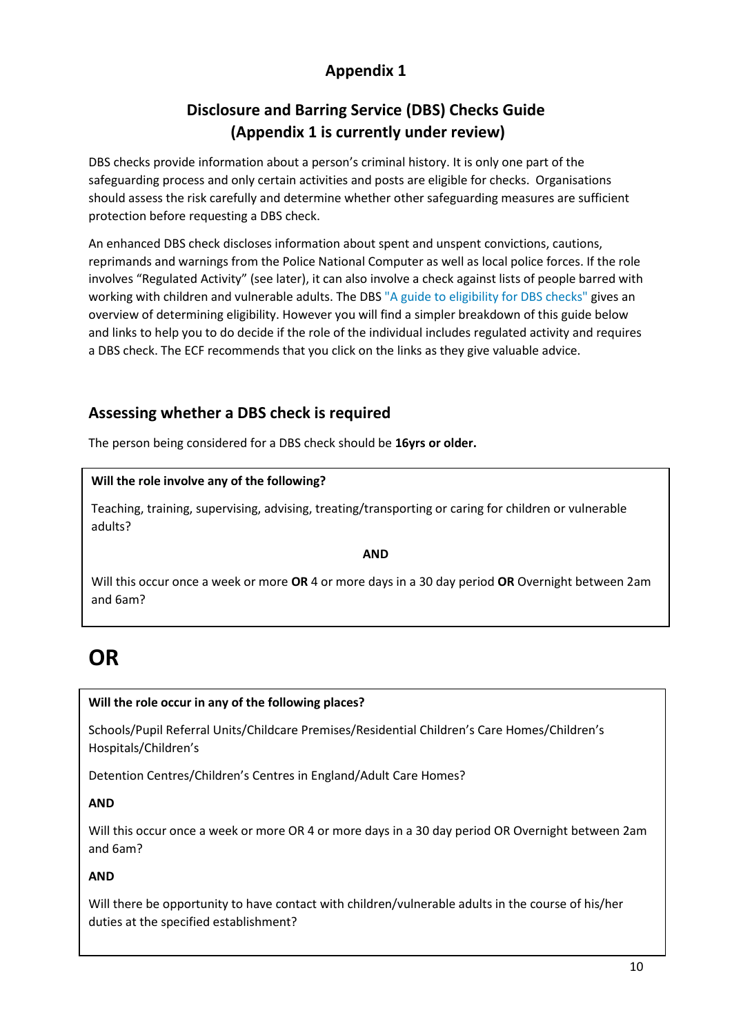# **Disclosure and Barring Service (DBS) Checks Guide (Appendix 1 is currently under review)**

DBS checks provide information about a person's criminal history. It is only one part of the safeguarding process and only certain activities and posts are eligible for checks. Organisations should assess the risk carefully and determine whether other safeguarding measures are sufficient protection before requesting a DBS check.

An enhanced DBS check discloses information about spent and unspent convictions, cautions, reprimands and warnings from the Police National Computer as well as local police forces. If the role involves "Regulated Activity" (see later), it can also involve a check against lists of people barred with working with children and vulnerable adults. The DBS ["A guide to eligibility for DBS checks"](https://www.gov.uk/government/uploads/system/uploads/attachment_data/file/409805/DBS_guide_eligibility_v7.pdf) gives an overview of determining eligibility. However you will find a simpler breakdown of this guide below and links to help you to do decide if the role of the individual includes regulated activity and requires a DBS check. The ECF recommends that you click on the links as they give valuable advice.

# **Assessing whether a DBS check is required**

The person being considered for a DBS check should be **16yrs or older.** 

#### **Will the role involve any of the following?**

Teaching, training, supervising, advising, treating/transporting or caring for children or vulnerable adults?

#### **AND**

Will this occur once a week or more **OR** 4 or more days in a 30 day period **OR** Overnight between 2am and 6am?

# **OR**

#### **Will the role occur in any of the following places?**

Schools/Pupil Referral Units/Childcare Premises/Residential Children's Care Homes/Children's Hospitals/Children's

Detention Centres/Children's Centres in England/Adult Care Homes?

#### **AND**

Will this occur once a week or more OR 4 or more days in a 30 day period OR Overnight between 2am and 6am?

#### **AND**

Will there be opportunity to have contact with children/vulnerable adults in the course of his/her duties at the specified establishment?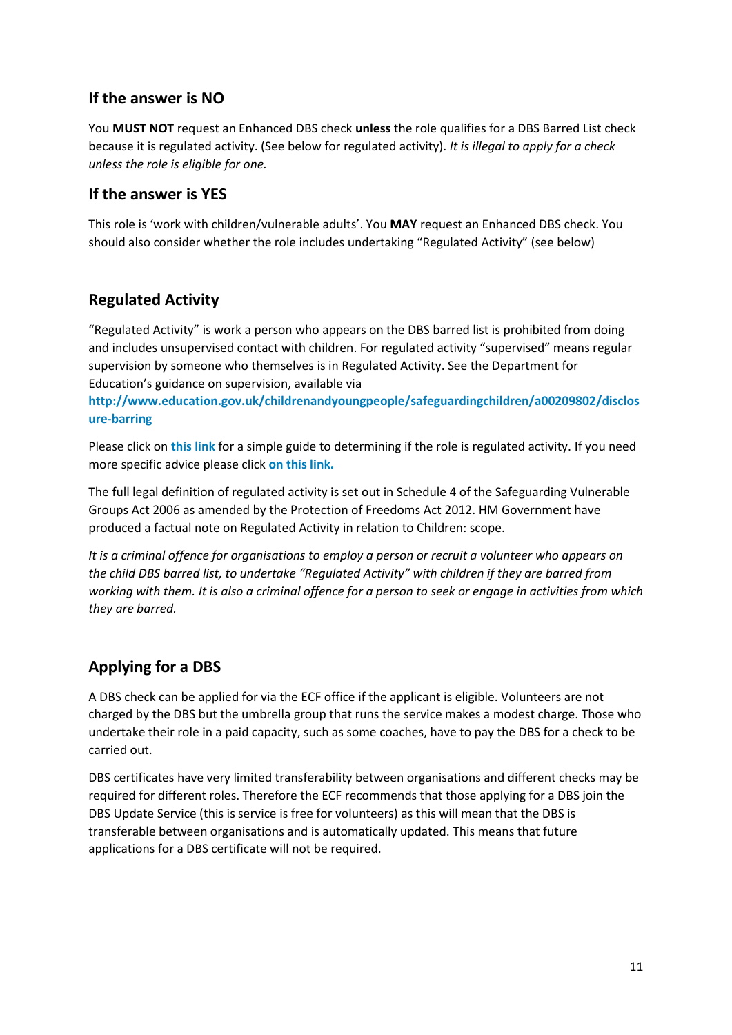#### **If the answer is NO**

You **MUST NOT** request an Enhanced DBS check **unless** the role qualifies for a DBS Barred List check because it is regulated activity. (See below for regulated activity). *It is illegal to apply for a check unless the role is eligible for one.*

# **If the answer is YES**

This role is 'work with children/vulnerable adults'. You **MAY** request an Enhanced DBS check. You should also consider whether the role includes undertaking "Regulated Activity" (see below)

# **Regulated Activity**

"Regulated Activity" is work a person who appears on the DBS barred list is prohibited from doing and includes unsupervised contact with children. For regulated activity "supervised" means regular supervision by someone who themselves is in Regulated Activity. See the Department for Education's guidance on supervision, available via

**[http://www.education.gov.uk/childrenandyoungpeople/safeguardingchildren/a00209802/disclos](http://www.education.gov.uk/childrenandyoungpeople/safeguardingchildren/a00209802/disclosure-barring) [ure-barring](http://www.education.gov.uk/childrenandyoungpeople/safeguardingchildren/a00209802/disclosure-barring)** 

Please click on **[this link](http://www.volunteering.org.uk/images/stories/Volunteering-England/Documents/Free-Information-Sheets/ra%20children%20and%20young%20people%20flowchart%20v2.pdf)** for a simple guide to determining if the role is regulated activity. If you need more specific advice please click **[on this link.](http://www.safecic.co.uk/images/downloads/CRB/SAFEcic%20DBS%20Eligibility%20Handiguide%20June%202015.pdf)**

The full legal definition of regulated activity is set out in Schedule 4 of the Safeguarding Vulnerable Groups Act 2006 as amended by the Protection of Freedoms Act 2012. HM Government have produced a factual note on Regulated Activity in relation to Children: scope.

*It is a criminal offence for organisations to employ a person or recruit a volunteer who appears on the child DBS barred list, to undertake "Regulated Activity" with children if they are barred from working with them. It is also a criminal offence for a person to seek or engage in activities from which they are barred.* 

# **Applying for a DBS**

A DBS check can be applied for via the ECF office if the applicant is eligible. Volunteers are not charged by the DBS but the umbrella group that runs the service makes a modest charge. Those who undertake their role in a paid capacity, such as some coaches, have to pay the DBS for a check to be carried out.

DBS certificates have very limited transferability between organisations and different checks may be required for different roles. Therefore the ECF recommends that those applying for a DBS join the DBS Update Service (this is service is free for volunteers) as this will mean that the DBS is transferable between organisations and is automatically updated. This means that future applications for a DBS certificate will not be required.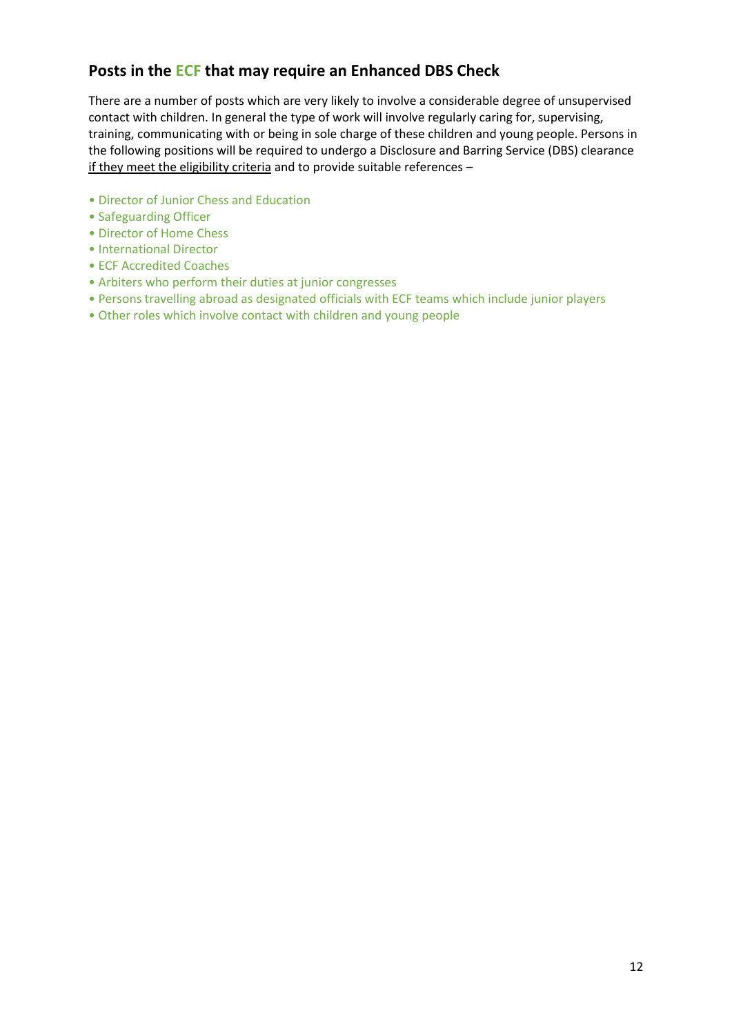# **Posts in the ECF that may require an Enhanced DBS Check**

There are a number of posts which are very likely to involve a considerable degree of unsupervised contact with children. In general the type of work will involve regularly caring for, supervising, training, communicating with or being in sole charge of these children and young people. Persons in the following positions will be required to undergo a Disclosure and Barring Service (DBS) clearance if they meet the eligibility criteria and to provide suitable references –

- Director of Junior Chess and Education
- Safeguarding Officer
- Director of Home Chess
- International Director
- ECF Accredited Coaches
- Arbiters who perform their duties at junior congresses
- Persons travelling abroad as designated officials with ECF teams which include junior players
- Other roles which involve contact with children and young people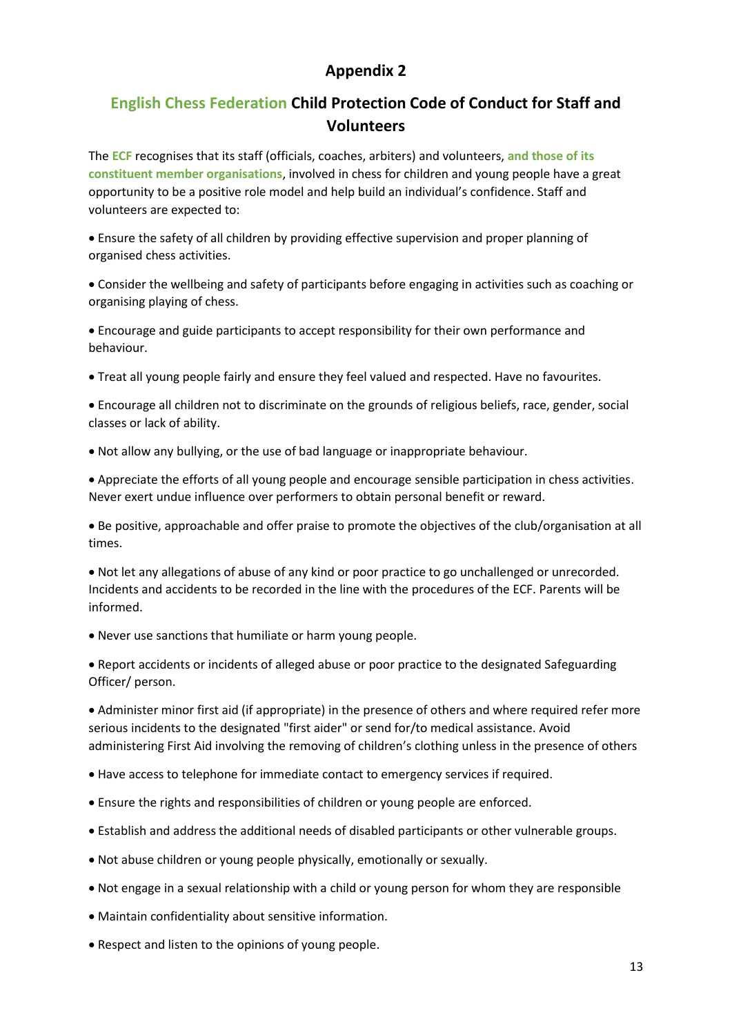# **English Chess Federation Child Protection Code of Conduct for Staff and Volunteers**

The **ECF** recognises that its staff (officials, coaches, arbiters) and volunteers, **and those of its constituent member organisations**, involved in chess for children and young people have a great opportunity to be a positive role model and help build an individual's confidence. Staff and volunteers are expected to:

 Ensure the safety of all children by providing effective supervision and proper planning of organised chess activities.

 Consider the wellbeing and safety of participants before engaging in activities such as coaching or organising playing of chess.

 Encourage and guide participants to accept responsibility for their own performance and behaviour.

Treat all young people fairly and ensure they feel valued and respected. Have no favourites.

 Encourage all children not to discriminate on the grounds of religious beliefs, race, gender, social classes or lack of ability.

Not allow any bullying, or the use of bad language or inappropriate behaviour.

 Appreciate the efforts of all young people and encourage sensible participation in chess activities. Never exert undue influence over performers to obtain personal benefit or reward.

 Be positive, approachable and offer praise to promote the objectives of the club/organisation at all times.

 Not let any allegations of abuse of any kind or poor practice to go unchallenged or unrecorded. Incidents and accidents to be recorded in the line with the procedures of the ECF. Parents will be informed.

Never use sanctions that humiliate or harm young people.

 Report accidents or incidents of alleged abuse or poor practice to the designated Safeguarding Officer/ person.

 Administer minor first aid (if appropriate) in the presence of others and where required refer more serious incidents to the designated "first aider" or send for/to medical assistance. Avoid administering First Aid involving the removing of children's clothing unless in the presence of others

- Have access to telephone for immediate contact to emergency services if required.
- Ensure the rights and responsibilities of children or young people are enforced.
- Establish and address the additional needs of disabled participants or other vulnerable groups.
- Not abuse children or young people physically, emotionally or sexually.
- Not engage in a sexual relationship with a child or young person for whom they are responsible
- Maintain confidentiality about sensitive information.
- Respect and listen to the opinions of young people.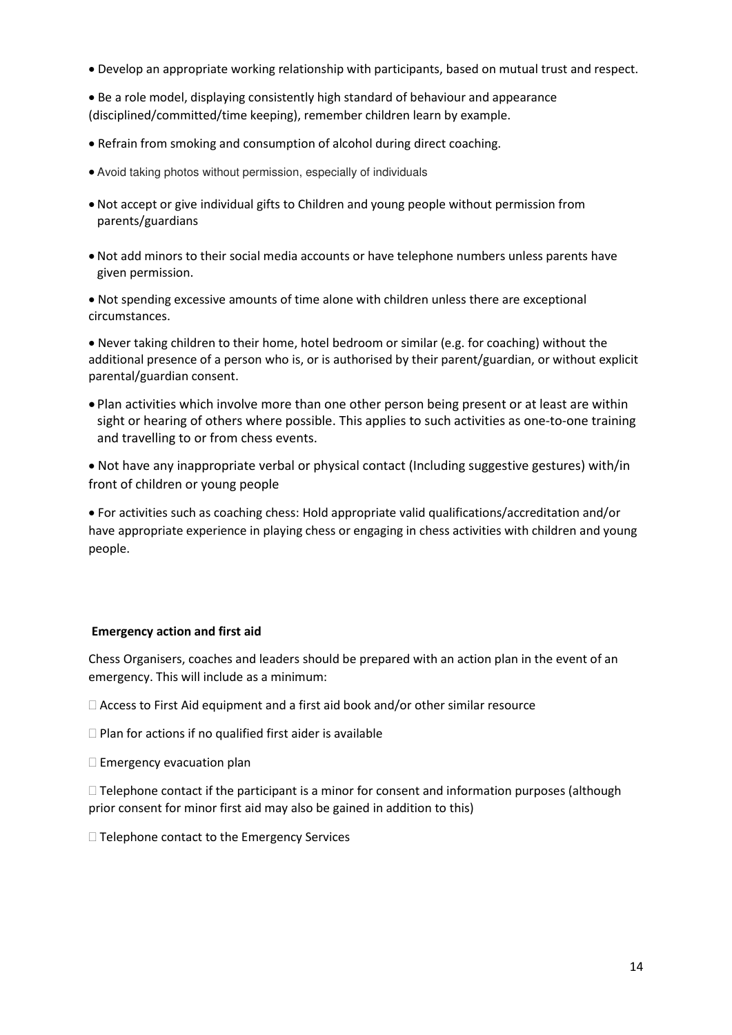Develop an appropriate working relationship with participants, based on mutual trust and respect.

 Be a role model, displaying consistently high standard of behaviour and appearance (disciplined/committed/time keeping), remember children learn by example.

- Refrain from smoking and consumption of alcohol during direct coaching.
- Avoid taking photos without permission, especially of individuals
- Not accept or give individual gifts to Children and young people without permission from parents/guardians
- Not add minors to their social media accounts or have telephone numbers unless parents have given permission.

 Not spending excessive amounts of time alone with children unless there are exceptional circumstances.

 Never taking children to their home, hotel bedroom or similar (e.g. for coaching) without the additional presence of a person who is, or is authorised by their parent/guardian, or without explicit parental/guardian consent.

 Plan activities which involve more than one other person being present or at least are within sight or hearing of others where possible. This applies to such activities as one-to-one training and travelling to or from chess events.

 Not have any inappropriate verbal or physical contact (Including suggestive gestures) with/in front of children or young people

 For activities such as coaching chess: Hold appropriate valid qualifications/accreditation and/or have appropriate experience in playing chess or engaging in chess activities with children and young people.

#### **Emergency action and first aid**

Chess Organisers, coaches and leaders should be prepared with an action plan in the event of an emergency. This will include as a minimum:

Access to First Aid equipment and a first aid book and/or other similar resource

 $\Box$  Plan for actions if no qualified first aider is available

 $\square$  Emergency evacuation plan

 $\Box$  Telephone contact if the participant is a minor for consent and information purposes (although prior consent for minor first aid may also be gained in addition to this)

 $\Box$  Telephone contact to the Emergency Services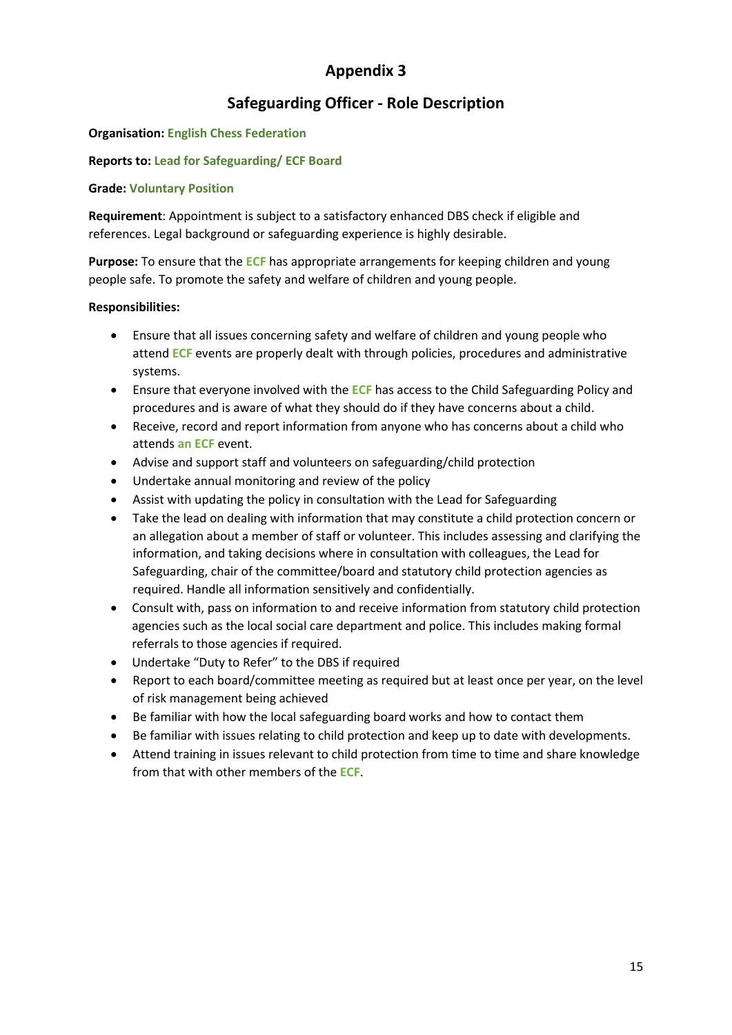# **Safeguarding Officer - Role Description**

#### **Organisation: English Chess Federation**

#### **Reports to: Lead for Safeguarding/ ECF Board**

#### **Grade: Voluntary Position**

**Requirement**: Appointment is subject to a satisfactory enhanced DBS check if eligible and references. Legal background or safeguarding experience is highly desirable.

**Purpose:** To ensure that the **ECF** has appropriate arrangements for keeping children and young people safe. To promote the safety and welfare of children and young people.

#### **Responsibilities:**

- Ensure that all issues concerning safety and welfare of children and young people who attend **ECF** events are properly dealt with through policies, procedures and administrative systems.
- Ensure that everyone involved with the **ECF** has access to the Child Safeguarding Policy and procedures and is aware of what they should do if they have concerns about a child.
- Receive, record and report information from anyone who has concerns about a child who attends **an ECF** event.
- Advise and support staff and volunteers on safeguarding/child protection
- Undertake annual monitoring and review of the policy
- Assist with updating the policy in consultation with the Lead for Safeguarding
- Take the lead on dealing with information that may constitute a child protection concern or an allegation about a member of staff or volunteer. This includes assessing and clarifying the information, and taking decisions where in consultation with colleagues, the Lead for Safeguarding, chair of the committee/board and statutory child protection agencies as required. Handle all information sensitively and confidentially.
- Consult with, pass on information to and receive information from statutory child protection agencies such as the local social care department and police. This includes making formal referrals to those agencies if required.
- Undertake "Duty to Refer" to the DBS if required
- Report to each board/committee meeting as required but at least once per year, on the level of risk management being achieved
- Be familiar with how the local safeguarding board works and how to contact them
- Be familiar with issues relating to child protection and keep up to date with developments.
- Attend training in issues relevant to child protection from time to time and share knowledge from that with other members of the **ECF**.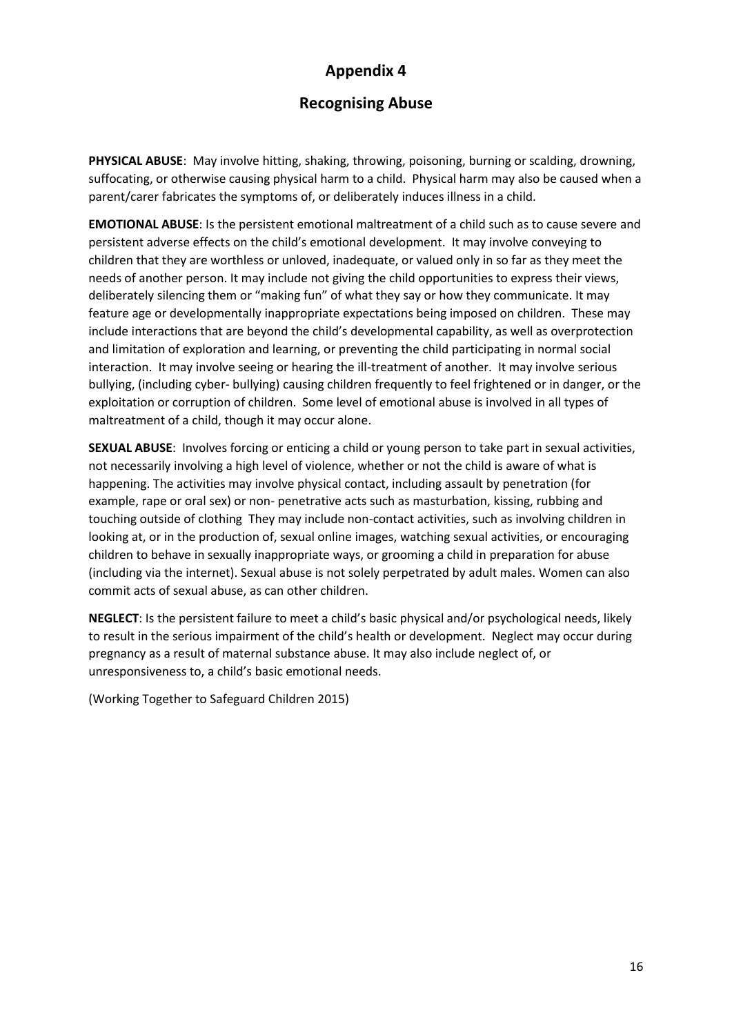# **Recognising Abuse**

**PHYSICAL ABUSE**: May involve hitting, shaking, throwing, poisoning, burning or scalding, drowning, suffocating, or otherwise causing physical harm to a child. Physical harm may also be caused when a parent/carer fabricates the symptoms of, or deliberately induces illness in a child.

**EMOTIONAL ABUSE**: Is the persistent emotional maltreatment of a child such as to cause severe and persistent adverse effects on the child's emotional development. It may involve conveying to children that they are worthless or unloved, inadequate, or valued only in so far as they meet the needs of another person. It may include not giving the child opportunities to express their views, deliberately silencing them or "making fun" of what they say or how they communicate. It may feature age or developmentally inappropriate expectations being imposed on children. These may include interactions that are beyond the child's developmental capability, as well as overprotection and limitation of exploration and learning, or preventing the child participating in normal social interaction. It may involve seeing or hearing the ill-treatment of another. It may involve serious bullying, (including cyber- bullying) causing children frequently to feel frightened or in danger, or the exploitation or corruption of children. Some level of emotional abuse is involved in all types of maltreatment of a child, though it may occur alone.

**SEXUAL ABUSE**: Involves forcing or enticing a child or young person to take part in sexual activities, not necessarily involving a high level of violence, whether or not the child is aware of what is happening. The activities may involve physical contact, including assault by penetration (for example, rape or oral sex) or non- penetrative acts such as masturbation, kissing, rubbing and touching outside of clothing They may include non-contact activities, such as involving children in looking at, or in the production of, sexual online images, watching sexual activities, or encouraging children to behave in sexually inappropriate ways, or grooming a child in preparation for abuse (including via the internet). Sexual abuse is not solely perpetrated by adult males. Women can also commit acts of sexual abuse, as can other children.

**NEGLECT**: Is the persistent failure to meet a child's basic physical and/or psychological needs, likely to result in the serious impairment of the child's health or development. Neglect may occur during pregnancy as a result of maternal substance abuse. It may also include neglect of, or unresponsiveness to, a child's basic emotional needs.

(Working Together to Safeguard Children 2015)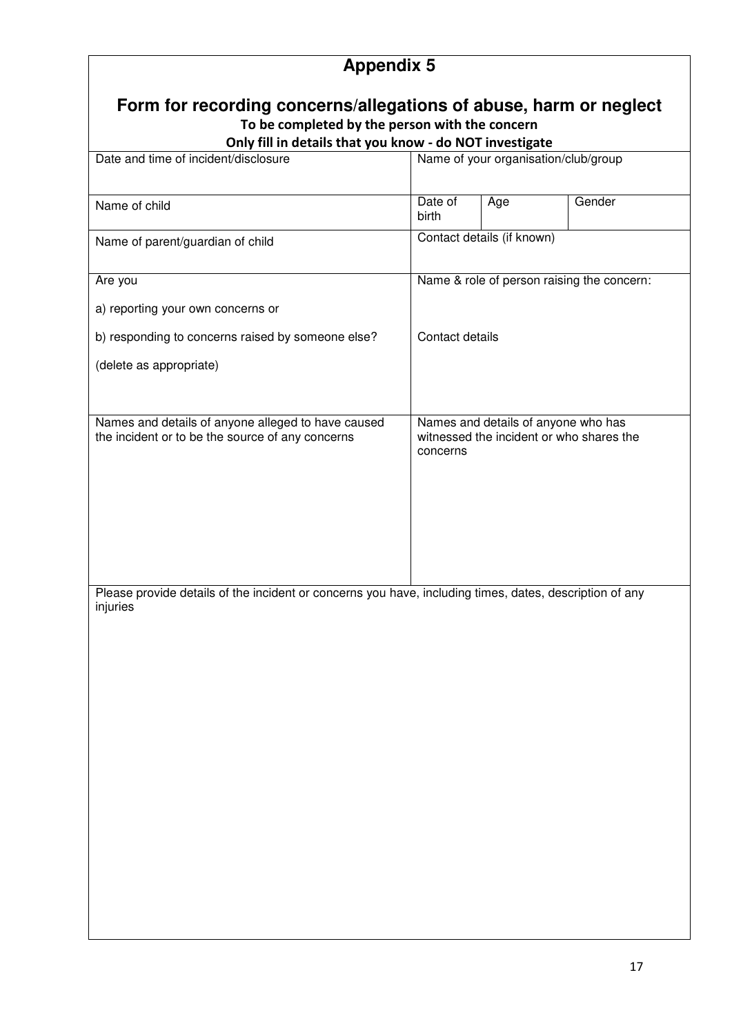# **Appendix 5 Form for recording concerns/allegations of abuse, harm or neglect To be completed by the person with the concern Only fill in details that you know - do NOT investigate**<br>Date and time of incident/disclosure<br>Name of your organisation Name of your organisation/club/group Name of child Date of birth Age Gender Name of parent/guardian of child Contact details (if known) Are you a) reporting your own concerns or b) responding to concerns raised by someone else? (delete as appropriate) Name & role of person raising the concern: Contact details Names and details of anyone alleged to have caused the incident or to be the source of any concerns Names and details of anyone who has witnessed the incident or who shares the concerns Please provide details of the incident or concerns you have, including times, dates, description of any injuries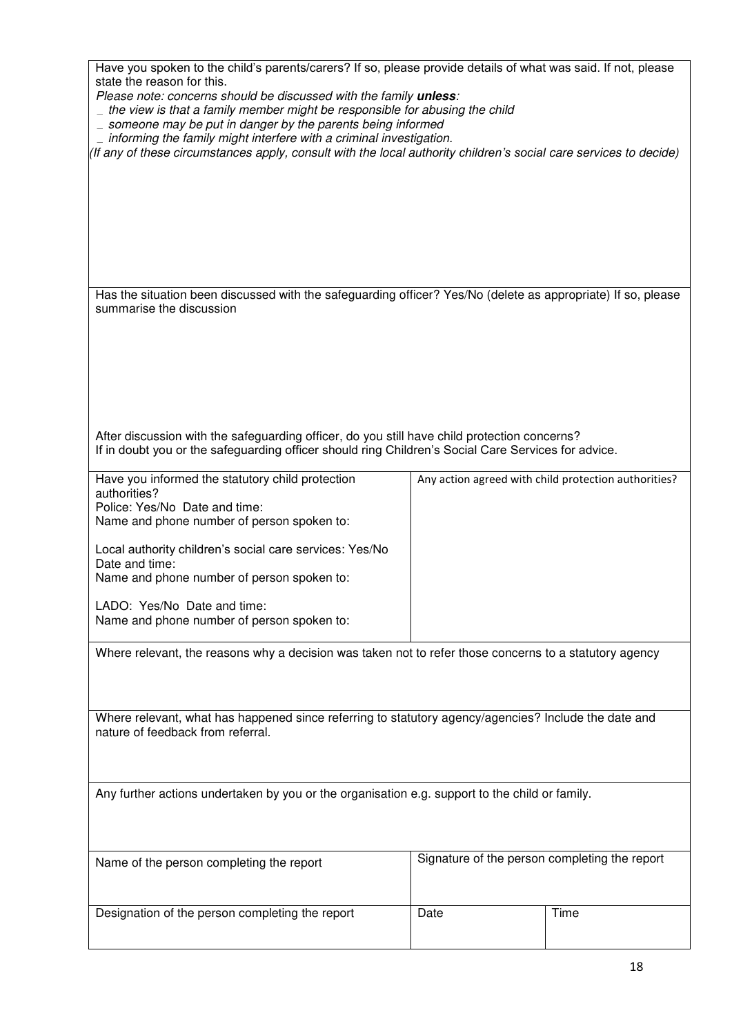| Have you spoken to the child's parents/carers? If so, please provide details of what was said. If not, please<br>state the reason for this.<br>Please note: concerns should be discussed with the family unless:<br>$\overline{\phantom{a}}$ the view is that a family member might be responsible for abusing the child<br>$\equiv$ someone may be put in danger by the parents being informed<br>$\_$ informing the family might interfere with a criminal investigation.<br>(If any of these circumstances apply, consult with the local authority children's social care services to decide) |                                               |                                                      |  |  |  |  |  |
|--------------------------------------------------------------------------------------------------------------------------------------------------------------------------------------------------------------------------------------------------------------------------------------------------------------------------------------------------------------------------------------------------------------------------------------------------------------------------------------------------------------------------------------------------------------------------------------------------|-----------------------------------------------|------------------------------------------------------|--|--|--|--|--|
|                                                                                                                                                                                                                                                                                                                                                                                                                                                                                                                                                                                                  |                                               |                                                      |  |  |  |  |  |
| Has the situation been discussed with the safeguarding officer? Yes/No (delete as appropriate) If so, please<br>summarise the discussion<br>After discussion with the safeguarding officer, do you still have child protection concerns?                                                                                                                                                                                                                                                                                                                                                         |                                               |                                                      |  |  |  |  |  |
| If in doubt you or the safeguarding officer should ring Children's Social Care Services for advice.                                                                                                                                                                                                                                                                                                                                                                                                                                                                                              |                                               |                                                      |  |  |  |  |  |
| Have you informed the statutory child protection<br>authorities?<br>Police: Yes/No Date and time:<br>Name and phone number of person spoken to:<br>Local authority children's social care services: Yes/No<br>Date and time:<br>Name and phone number of person spoken to:<br>LADO: Yes/No Date and time:<br>Name and phone number of person spoken to:                                                                                                                                                                                                                                          |                                               | Any action agreed with child protection authorities? |  |  |  |  |  |
| Where relevant, the reasons why a decision was taken not to refer those concerns to a statutory agency                                                                                                                                                                                                                                                                                                                                                                                                                                                                                           |                                               |                                                      |  |  |  |  |  |
| Where relevant, what has happened since referring to statutory agency/agencies? Include the date and<br>nature of feedback from referral.                                                                                                                                                                                                                                                                                                                                                                                                                                                        |                                               |                                                      |  |  |  |  |  |
| Any further actions undertaken by you or the organisation e.g. support to the child or family.                                                                                                                                                                                                                                                                                                                                                                                                                                                                                                   |                                               |                                                      |  |  |  |  |  |
| Name of the person completing the report                                                                                                                                                                                                                                                                                                                                                                                                                                                                                                                                                         | Signature of the person completing the report |                                                      |  |  |  |  |  |
| Designation of the person completing the report                                                                                                                                                                                                                                                                                                                                                                                                                                                                                                                                                  | Date                                          | Time                                                 |  |  |  |  |  |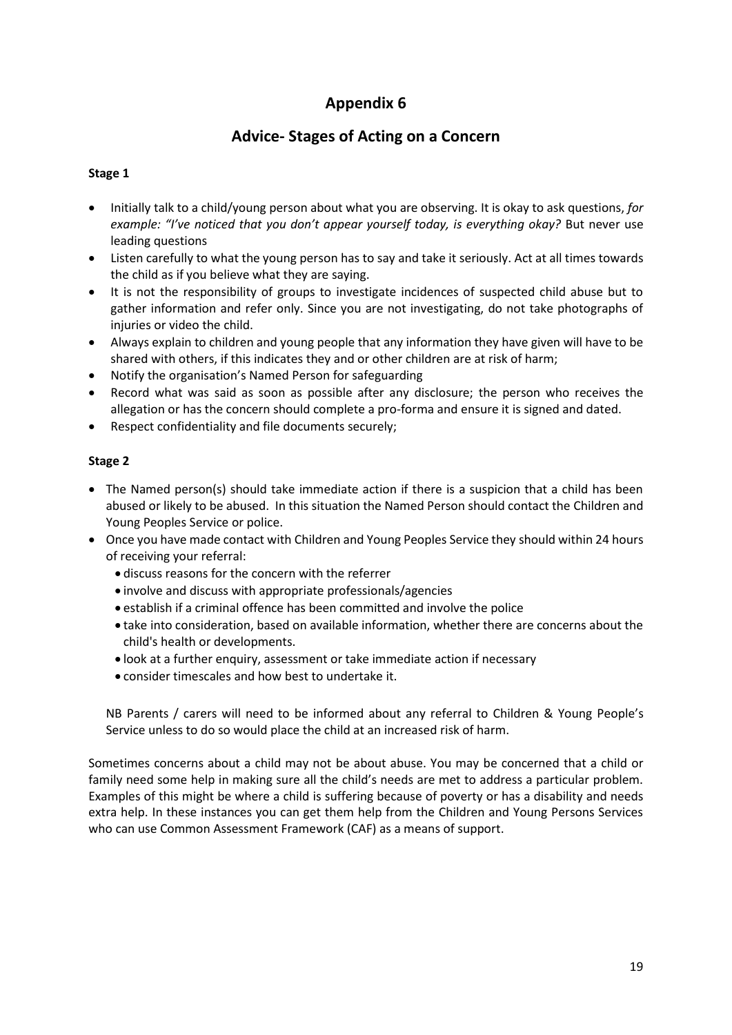# **Advice- Stages of Acting on a Concern**

#### **Stage 1**

- Initially talk to a child/young person about what you are observing. It is okay to ask questions, *for example: "I've noticed that you don't appear yourself today, is everything okay?* But never use leading questions
- Listen carefully to what the young person has to say and take it seriously. Act at all times towards the child as if you believe what they are saying.
- It is not the responsibility of groups to investigate incidences of suspected child abuse but to gather information and refer only. Since you are not investigating, do not take photographs of injuries or video the child.
- Always explain to children and young people that any information they have given will have to be shared with others, if this indicates they and or other children are at risk of harm;
- Notify the organisation's Named Person for safeguarding
- Record what was said as soon as possible after any disclosure; the person who receives the allegation or has the concern should complete a pro-forma and ensure it is signed and dated.
- Respect confidentiality and file documents securely;

#### **Stage 2**

- The Named person(s) should take immediate action if there is a suspicion that a child has been abused or likely to be abused. In this situation the Named Person should contact the Children and Young Peoples Service or police.
- Once you have made contact with Children and Young Peoples Service they should within 24 hours of receiving your referral:
	- discuss reasons for the concern with the referrer
	- involve and discuss with appropriate professionals/agencies
	- establish if a criminal offence has been committed and involve the police
	- take into consideration, based on available information, whether there are concerns about the child's health or developments.
	- look at a further enquiry, assessment or take immediate action if necessary
	- consider timescales and how best to undertake it.

NB Parents / carers will need to be informed about any referral to Children & Young People's Service unless to do so would place the child at an increased risk of harm.

Sometimes concerns about a child may not be about abuse. You may be concerned that a child or family need some help in making sure all the child's needs are met to address a particular problem. Examples of this might be where a child is suffering because of poverty or has a disability and needs extra help. In these instances you can get them help from the Children and Young Persons Services who can use Common Assessment Framework (CAF) as a means of support.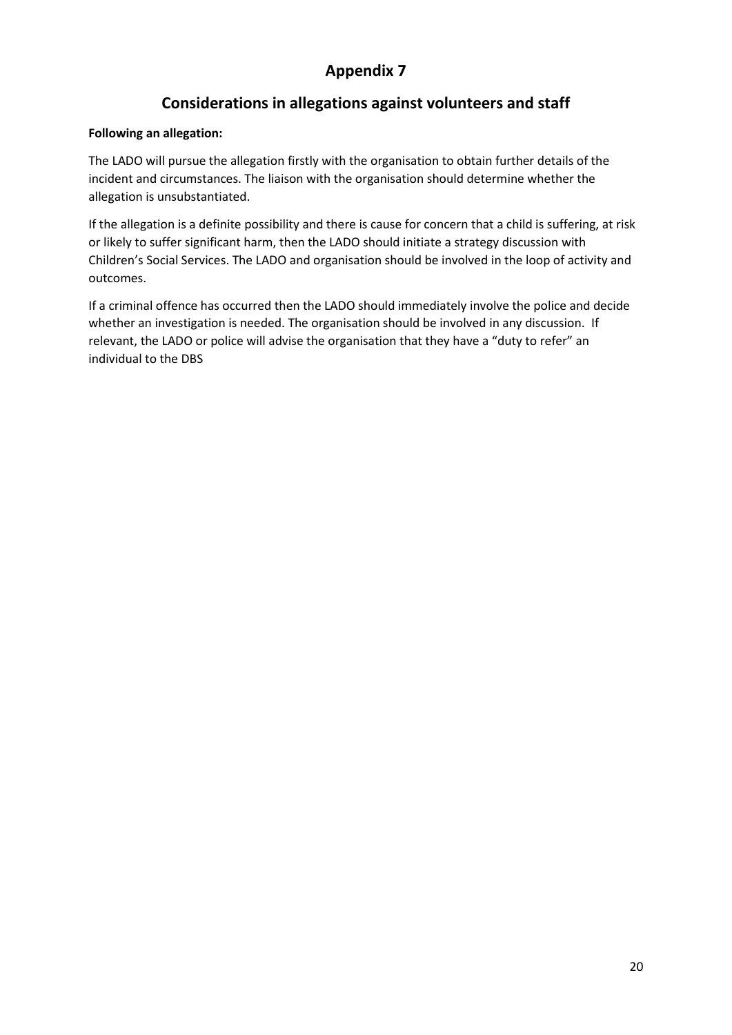# **Considerations in allegations against volunteers and staff**

#### **Following an allegation:**

The LADO will pursue the allegation firstly with the organisation to obtain further details of the incident and circumstances. The liaison with the organisation should determine whether the allegation is unsubstantiated.

If the allegation is a definite possibility and there is cause for concern that a child is suffering, at risk or likely to suffer significant harm, then the LADO should initiate a strategy discussion with Children's Social Services. The LADO and organisation should be involved in the loop of activity and outcomes.

If a criminal offence has occurred then the LADO should immediately involve the police and decide whether an investigation is needed. The organisation should be involved in any discussion. If relevant, the LADO or police will advise the organisation that they have a "duty to refer" an individual to the DBS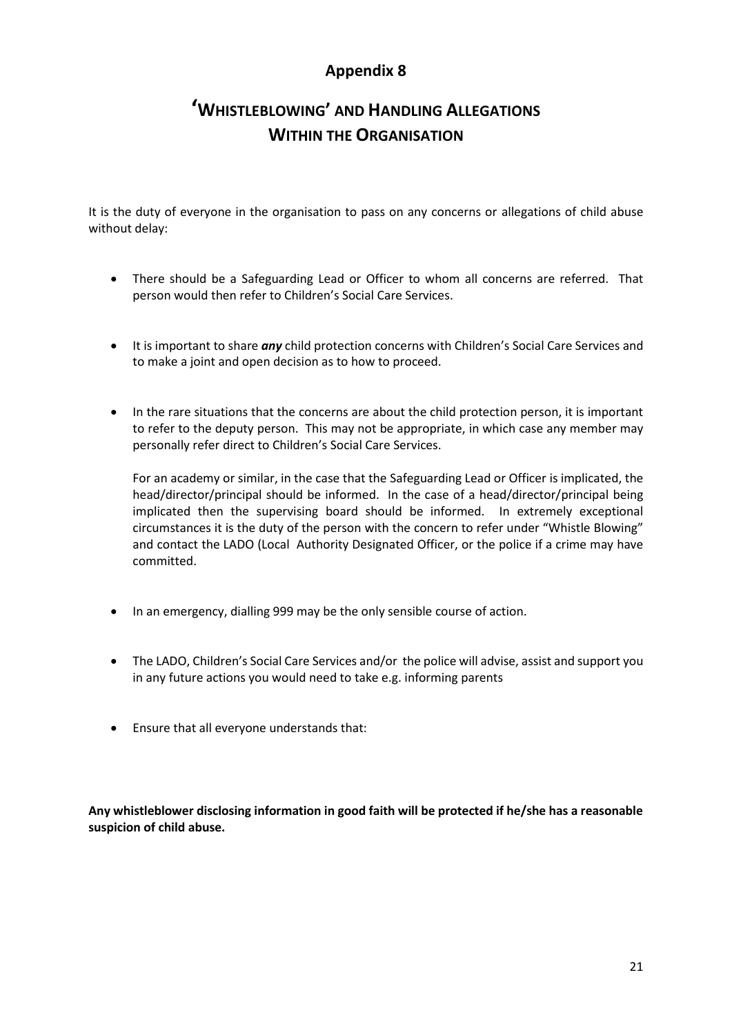# **'WHISTLEBLOWING' AND HANDLING ALLEGATIONS WITHIN THE ORGANISATION**

It is the duty of everyone in the organisation to pass on any concerns or allegations of child abuse without delay:

- There should be a Safeguarding Lead or Officer to whom all concerns are referred. That person would then refer to Children's Social Care Services.
- It is important to share *any* child protection concerns with Children's Social Care Services and to make a joint and open decision as to how to proceed.
- In the rare situations that the concerns are about the child protection person, it is important to refer to the deputy person. This may not be appropriate, in which case any member may personally refer direct to Children's Social Care Services.

For an academy or similar, in the case that the Safeguarding Lead or Officer is implicated, the head/director/principal should be informed. In the case of a head/director/principal being implicated then the supervising board should be informed. In extremely exceptional circumstances it is the duty of the person with the concern to refer under "Whistle Blowing" and contact the LADO (Local Authority Designated Officer, or the police if a crime may have committed.

- In an emergency, dialling 999 may be the only sensible course of action.
- The LADO, Children's Social Care Services and/or the police will advise, assist and support you in any future actions you would need to take e.g. informing parents
- Ensure that all everyone understands that:

**Any whistleblower disclosing information in good faith will be protected if he/she has a reasonable suspicion of child abuse.**